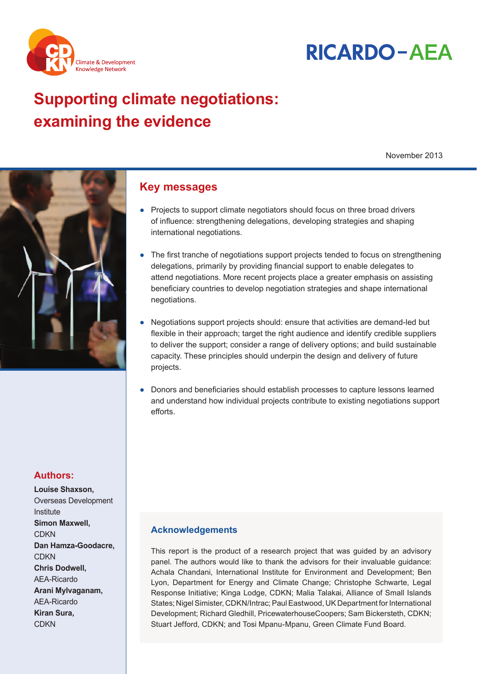



# **Supporting climate negotiations:** examining the evidence

November 2013



# **Authors:**

**Louise Shaxson.** Overseas Development Institute Simon Maxwell. CDKN Dan Hamza-Goodacre, **CDKN Chris Dodwell.** AEA-Ricardo Arani Mylvaganam, AEA-Ricardo Kiran Sura, **CDKN** 

## **Key messages**

- Projects to support climate negotiators should focus on three broad drivers of influence: strengthening delegations, developing strategies and shaping international negotiations.
- The first tranche of negotiations support projects tended to focus on strengthening delegations, primarily by providing financial support to enable delegates to attend negotiations. More recent projects place a greater emphasis on assisting beneficiary countries to develop negotiation strategies and shape international negotiations.
- Negotiations support projects should: ensure that activities are demand-led but flexible in their approach; target the right audience and identify credible suppliers to deliver the support; consider a range of delivery options; and build sustainable capacity. These principles should underpin the design and delivery of future projects.
- Donors and beneficiaries should establish processes to capture lessons learned and understand how individual projects contribute to existing negotiations support efforts

## **Acknowledgements**

This report is the product of a research project that was guided by an advisory panel. The authors would like to thank the advisors for their invaluable guidance: Achala Chandani, International Institute for Environment and Development; Ben Lyon, Department for Energy and Climate Change; Christophe Schwarte, Legal Response Initiative: Kinga Lodge, CDKN: Malia Talakai, Alliance of Small Islands States; Nigel Simister, CDKN/Intrac; Paul Eastwood, UK Department for International Development; Richard Gledhill, PricewaterhouseCoopers; Sam Bickersteth, CDKN; Stuart Jefford, CDKN; and Tosi Mpanu-Mpanu, Green Climate Fund Board.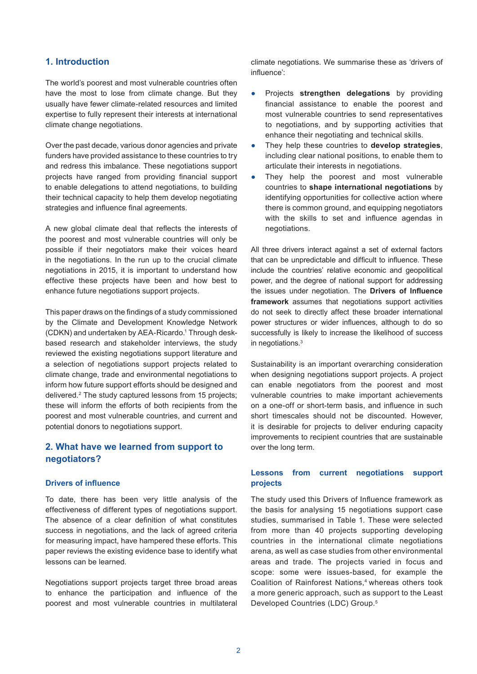## **1. Introduction**

The world's poorest and most vulnerable countries often have the most to lose from climate change. But they usually have fewer climate-related resources and limited expertise to fully represent their interests at international climate change negotiations.

Over the past decade, various donor agencies and private funders have provided assistance to these countries to try and redress this imbalance. These negotiations support projects have ranged from providing financial support to enable delegations to attend negotiations, to building their technical capacity to help them develop negotiating strategies and influence final agreements.

A new global climate deal that reflects the interests of the poorest and most vulnerable countries will only be possible if their negotiators make their voices heard in the negotiations. In the run up to the crucial climate negotiations in 2015, it is important to understand how effective these projects have been and how best to enhance future negotiations support projects.

This paper draws on the findings of a study commissioned by the Climate and Development Knowledge Network (CDKN) and undertaken by AEA-Ricardo.<sup>1</sup> Through deskbased research and stakeholder interviews, the study reviewed the existing negotiations support literature and a selection of negotiations support projects related to climate change, trade and environmental negotiations to inform how future support efforts should be designed and delivered.<sup>2</sup> The study captured lessons from 15 projects; these will inform the efforts of both recipients from the poorest and most vulnerable countries, and current and potential donors to negotiations support.

## **2. What have we learned from support to negotiators?**

#### **Drivers of influence**

To date, there has been very little analysis of the effectiveness of different types of negotiations support. The absence of a clear definition of what constitutes success in negotiations, and the lack of agreed criteria for measuring impact, have hampered these efforts. This paper reviews the existing evidence base to identify what lessons can be learned.

Negotiations support projects target three broad areas to enhance the participation and influence of the poorest and most vulnerable countries in multilateral climate negotiations. We summarise these as 'drivers of influence':

- **•** Projects strengthen delegations by providing financial assistance to enable the poorest and most vulnerable countries to send representatives to negotiations, and by supporting activities that enhance their negotiating and technical skills.
- They help these countries to **develop strategies**. including clear national positions, to enable them to articulate their interests in negotiations.
- They help the poorest and most vulnerable countries to **shape international negotiations** by identifying opportunities for collective action where there is common ground, and equipping negotiators with the skills to set and influence agendas in negotiations.

All three drivers interact against a set of external factors that can be unpredictable and difficult to influence. These include the countries' relative economic and geopolitical power, and the degree of national support for addressing the issues under negotiation. The **Drivers of Influence framework** assumes that negotiations support activities do not seek to directly affect these broader international power structures or wider influences, although to do so successfully is likely to increase the likelihood of success in negotiations.<sup>3</sup>

Sustainability is an important overarching consideration when designing negotiations support projects. A project can enable negotiators from the poorest and most vulnerable countries to make important achievements on a one-off or short-term basis, and influence in such short timescales should not be discounted. However. it is desirable for projects to deliver enduring capacity improvements to recipient countries that are sustainable over the long term.

## **Lessons from current negotiations support projects**

The study used this Drivers of Influence framework as the basis for analysing 15 negotiations support case studies, summarised in Table 1. These were selected from more than 40 projects supporting developing countries in the international climate negotiations arena, as well as case studies from other environmental areas and trade. The projects varied in focus and scope: some were issues-based, for example the Coalition of Rainforest Nations,<sup>4</sup> whereas others took a more generic approach, such as support to the Least Developed Countries (LDC) Group.<sup>5</sup>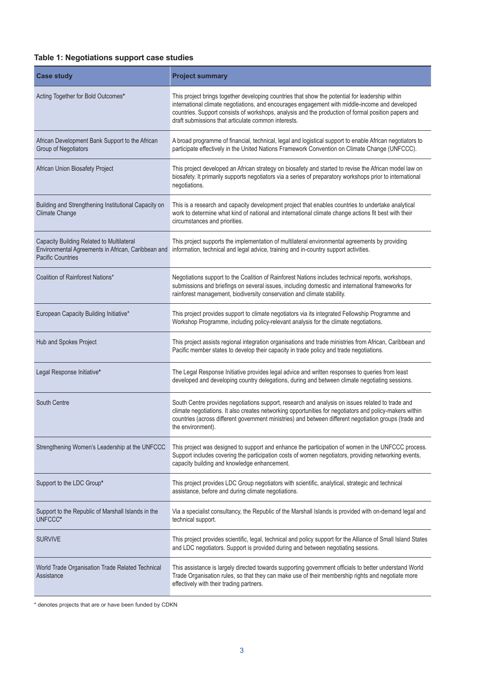## **Table 1: Negotiations support case studies**

| <b>Case study</b>                                                       | <b>Project summary</b>                                                                                                                                                                                                                                                                                                                                          |
|-------------------------------------------------------------------------|-----------------------------------------------------------------------------------------------------------------------------------------------------------------------------------------------------------------------------------------------------------------------------------------------------------------------------------------------------------------|
| Acting Together for Bold Outcomes*                                      | This project brings together developing countries that show the potential for leadership within<br>international climate negotiations, and encourages engagement with middle-income and developed<br>countries. Support consists of workshops, analysis and the production of formal position papers and<br>draft submissions that articulate common interests. |
| African Development Bank Support to the African<br>Group of Negotiators | A broad programme of financial, technical, legal and logistical support to enable African negotiators to<br>participate effectively in the United Nations Framework Convention on Climate Change (UNFCCC).                                                                                                                                                      |
| African Union Biosafety Project                                         | This project developed an African strategy on biosafety and started to revise the African model law on<br>biosafety. It primarily supports negotiators via a series of preparatory workshops prior to international<br>negotiations.                                                                                                                            |
| Building and Strengthening Institutional Capacity on<br>Climate Change  | This is a research and capacity development project that enables countries to undertake analytical<br>work to determine what kind of national and international climate change actions fit best with their<br>circumstances and priorities.                                                                                                                     |
| Capacity Building Related to Multilateral<br><b>Pacific Countries</b>   | This project supports the implementation of multilateral environmental agreements by providing<br>Environmental Agreements in African, Caribbean and information, technical and legal advice, training and in-country support activities.                                                                                                                       |
| Coalition of Rainforest Nations*                                        | Negotiations support to the Coalition of Rainforest Nations includes technical reports, workshops,<br>submissions and briefings on several issues, including domestic and international frameworks for<br>rainforest management, biodiversity conservation and climate stability.                                                                               |
| European Capacity Building Initiative*                                  | This project provides support to climate negotiators via its integrated Fellowship Programme and<br>Workshop Programme, including policy-relevant analysis for the climate negotiations.                                                                                                                                                                        |
| Hub and Spokes Project                                                  | This project assists regional integration organisations and trade ministries from African, Caribbean and<br>Pacific member states to develop their capacity in trade policy and trade negotiations.                                                                                                                                                             |
| Legal Response Initiative*                                              | The Legal Response Initiative provides legal advice and written responses to queries from least<br>developed and developing country delegations, during and between climate negotiating sessions.                                                                                                                                                               |
| South Centre                                                            | South Centre provides negotiations support, research and analysis on issues related to trade and<br>climate negotiations. It also creates networking opportunities for negotiators and policy-makers within<br>countries (across different government ministries) and between different negotiation groups (trade and<br>the environment).                      |
| Strengthening Women's Leadership at the UNFCCC                          | This project was designed to support and enhance the participation of women in the UNFCCC process.<br>Support includes covering the participation costs of women negotiators, providing networking events,<br>capacity building and knowledge enhancement.                                                                                                      |
| Support to the LDC Group*                                               | This project provides LDC Group negotiators with scientific, analytical, strategic and technical<br>assistance, before and during climate negotiations.                                                                                                                                                                                                         |
| Support to the Republic of Marshall Islands in the<br>UNFCCC*           | Via a specialist consultancy, the Republic of the Marshall Islands is provided with on-demand legal and<br>technical support.                                                                                                                                                                                                                                   |
| <b>SURVIVE</b>                                                          | This project provides scientific, legal, technical and policy support for the Alliance of Small Island States<br>and LDC negotiators. Support is provided during and between negotiating sessions.                                                                                                                                                              |
| World Trade Organisation Trade Related Technical<br>Assistance          | This assistance is largely directed towards supporting government officials to better understand World<br>Trade Organisation rules, so that they can make use of their membership rights and negotiate more<br>effectively with their trading partners.                                                                                                         |

 $^*$  denotes projects that are or have been funded by CDKN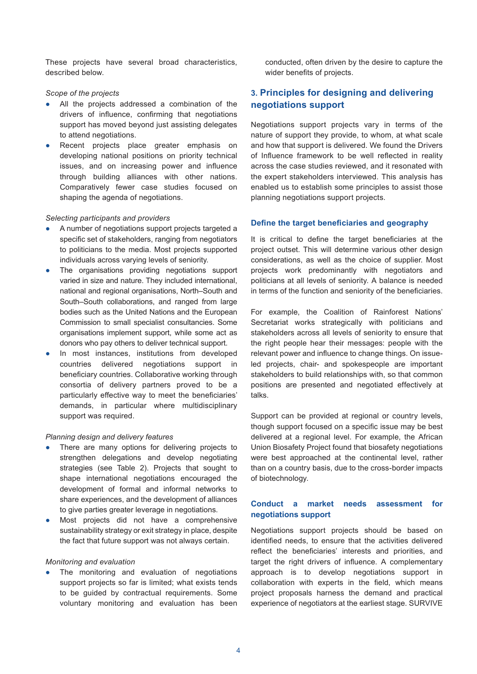These projects have several broad characteristics, described below.

#### *Scope of the projects*

- All the projects addressed a combination of the drivers of influence, confirming that negotiations support has moved beyond just assisting delegates to attend negotiations.
- Recent projects place greater emphasis on developing national positions on priority technical issues, and on increasing power and influence through building alliances with other nations. Comparatively fewer case studies focused on shaping the agenda of negotiations.

#### *Selecting participants and providers*

- A number of negotiations support projects targeted a specific set of stakeholders, ranging from negotiators to politicians to the media. Most projects supported individuals across varying levels of seniority.
- The organisations providing negotiations support varied in size and nature. They included international, national and regional organisations, North-South and South-South collaborations, and ranged from large bodies such as the United Nations and the European Commission to small specialist consultancies. Some organisations implement support, while some act as donors who pay others to deliver technical support.
- In most instances, institutions from developed countries delivered negotiations support in beneficiary countries. Collaborative working through consortia of delivery partners proved to be a particularly effective way to meet the beneficiaries' demands, in particular where multidisciplinary support was required.

#### *Planning design and delivery features*

- There are many options for delivering projects to strengthen delegations and develop negotiating strategies (see Table 2). Projects that sought to shape international negotiations encouraged the development of formal and informal networks to share experiences, and the development of alliances to give parties greater leverage in negotiations.
- Most projects did not have a comprehensive sustainability strategy or exit strategy in place, despite the fact that future support was not always certain.

#### *Monitoring and evaluation*

The monitoring and evaluation of negotiations support projects so far is limited; what exists tends to be quided by contractual requirements. Some voluntary monitoring and evaluation has been conducted, often driven by the desire to capture the wider benefits of projects.

## **3. Principles for designing and delivering negotiations support**

Negotiations support projects vary in terms of the nature of support they provide, to whom, at what scale and how that support is delivered. We found the Drivers of Influence framework to be well reflected in reality across the case studies reviewed, and it resonated with the expert stakeholders interviewed. This analysis has enabled us to establish some principles to assist those planning negotiations support projects.

#### Define the target beneficiaries and geography

It is critical to define the target beneficiaries at the project outset. This will determine various other design considerations, as well as the choice of supplier. Most projects work predominantly with negotiators and politicians at all levels of seniority. A balance is needed in terms of the function and seniority of the beneficiaries.

For example, the Coalition of Rainforest Nations' Secretariat works strategically with politicians and stakeholders across all levels of seniority to ensure that the right people hear their messages: people with the relevant power and influence to change things. On issueled projects, chair- and spokespeople are important stakeholders to build relationships with, so that common positions are presented and negotiated effectively at talks.

Support can be provided at regional or country levels, though support focused on a specific issue may be best delivered at a regional level. For example, the African Union Biosafety Project found that biosafety negotiations were best approached at the continental level, rather than on a country basis, due to the cross-border impacts of biotechnology.

## **Conduct a market needs assessment for negotiations support**

Negotiations support projects should be based on identified needs, to ensure that the activities delivered reflect the beneficiaries' interests and priorities, and target the right drivers of influence. A complementary approach is to develop negotiations support in collaboration with experts in the field, which means project proposals harness the demand and practical experience of negotiators at the earliest stage. SURVIVE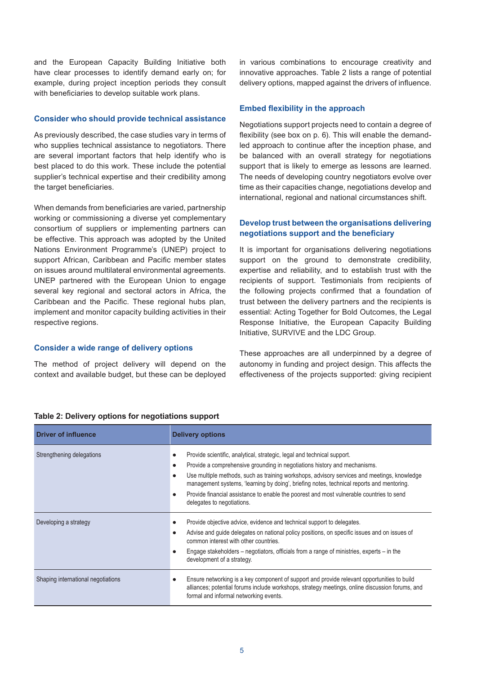and the European Capacity Building Initiative both have clear processes to identify demand early on; for example, during project inception periods they consult with beneficiaries to develop suitable work plans.

#### **Consider who should provide technical assistance**

As previously described, the case studies vary in terms of who supplies technical assistance to negotiators. There are several important factors that help identify who is best placed to do this work. These include the potential supplier's technical expertise and their credibility among the target beneficiaries.

When demands from beneficiaries are varied, partnership working or commissioning a diverse yet complementary consortium of suppliers or implementing partners can be effective. This approach was adopted by the United Nations Environment Programme's (UNEP) project to support African, Caribbean and Pacific member states on issues around multilateral environmental agreements. UNEP partnered with the European Union to engage several key regional and sectoral actors in Africa, the Caribbean and the Pacific. These regional hubs plan, implement and monitor capacity building activities in their respective regions.

#### **Consider a wide range of delivery options**

The method of project delivery will depend on the context and available budget, but these can be deploved in various combinations to encourage creativity and innovative approaches. Table 2 lists a range of potential delivery options, mapped against the drivers of influence.

#### **Embed flexibility in the approach**

Negotiations support projects need to contain a degree of flexibility (see box on p. 6). This will enable the demandled approach to continue after the inception phase, and be balanced with an overall strategy for negotiations support that is likely to emerge as lessons are learned. The needs of developing country negotiators evolve over time as their capacities change, negotiations develop and international, regional and national circumstances shift.

## **Develop trust between the organisations delivering**  negotiations support and the beneficiary

It is important for organisations delivering negotiations support on the ground to demonstrate credibility, expertise and reliability, and to establish trust with the recipients of support. Testimonials from recipients of the following projects confirmed that a foundation of trust between the delivery partners and the recipients is essential: Acting Together for Bold Outcomes, the Legal Response Initiative, the European Capacity Building Initiative, SURVIVE and the LDC Group.

These approaches are all underpinned by a degree of autonomy in funding and project design. This affects the effectiveness of the projects supported: giving recipient

| <b>Driver of influence</b>         | <b>Delivery options</b>                                                                                                                                                                                                                                                                                                                                                                                                                                                                              |
|------------------------------------|------------------------------------------------------------------------------------------------------------------------------------------------------------------------------------------------------------------------------------------------------------------------------------------------------------------------------------------------------------------------------------------------------------------------------------------------------------------------------------------------------|
| Strengthening delegations          | Provide scientific, analytical, strategic, legal and technical support.<br>Provide a comprehensive grounding in negotiations history and mechanisms.<br>$\bullet$<br>Use multiple methods, such as training workshops, advisory services and meetings, knowledge<br>$\bullet$<br>management systems, 'learning by doing', briefing notes, technical reports and mentoring.<br>Provide financial assistance to enable the poorest and most vulnerable countries to send<br>delegates to negotiations. |
| Developing a strategy              | Provide objective advice, evidence and technical support to delegates.<br>Advise and guide delegates on national policy positions, on specific issues and on issues of<br>$\bullet$<br>common interest with other countries.<br>Engage stakeholders – negotiators, officials from a range of ministries, experts – in the<br>development of a strategy.                                                                                                                                              |
| Shaping international negotiations | Ensure networking is a key component of support and provide relevant opportunities to build<br>alliances; potential forums include workshops, strategy meetings, online discussion forums, and<br>formal and informal networking events.                                                                                                                                                                                                                                                             |

#### **Table 2: Delivery options for negotiations support**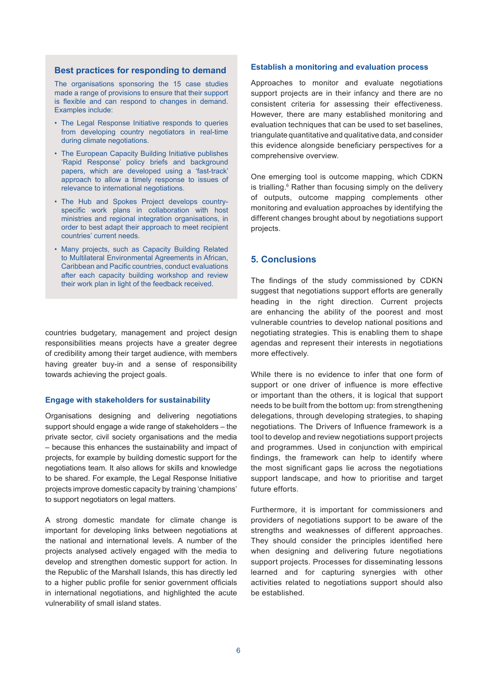#### **Best practices for responding to demand**

The organisations sponsoring the 15 case studies made a range of provisions to ensure that their support is flexible and can respond to changes in demand. Examples include:

- The Legal Response Initiative responds to queries from developing country negotiators in real-time during climate negotiations.
- The European Capacity Building Initiative publishes 'Rapid Response' policy briefs and background papers, which are developed using a 'fast-track' approach to allow a timely response to issues of relevance to international negotiations.
- The Hub and Spokes Project develops countryspecific work plans in collaboration with host ministries and regional integration organisations, in order to best adapt their approach to meet recipient countries' current needs.
- Many projects, such as Capacity Building Related to Multilateral Environmental Agreements in African, Caribbean and Pacific countries, conduct evaluations after each capacity building workshop and review their work plan in light of the feedback received.

countries budgetary, management and project design responsibilities means projects have a greater degree of credibility among their target audience, with members having greater buy-in and a sense of responsibility towards achieving the project goals.

#### **Engage with stakeholders for sustainability**

Organisations designing and delivering negotiations support should engage a wide range of stakeholders – the private sector, civil society organisations and the media - because this enhances the sustainability and impact of projects, for example by building domestic support for the negotiations team. It also allows for skills and knowledge to be shared. For example, the Legal Response Initiative projects improve domestic capacity by training 'champions' to support negotiators on legal matters.

A strong domestic mandate for climate change is important for developing links between negotiations at the national and international levels. A number of the projects analysed actively engaged with the media to develop and strengthen domestic support for action. In the Republic of the Marshall Islands, this has directly led to a higher public profile for senior government officials in international negotiations, and highlighted the acute vulnerability of small island states.

#### **Establish a monitoring and evaluation process**

Approaches to monitor and evaluate negotiations support projects are in their infancy and there are no consistent criteria for assessing their effectiveness. However, there are many established monitoring and evaluation techniques that can be used to set baselines, triangulate quantitative and qualitative data, and consider this evidence alongside beneficiary perspectives for a comprehensive overview.

One emerging tool is outcome mapping, which CDKN is trialling.<sup>6</sup> Rather than focusing simply on the delivery of outputs, outcome mapping complements other monitoring and evaluation approaches by identifying the different changes brought about by negotiations support projects.

## **5. Conclusions**

The findings of the study commissioned by CDKN suggest that negotiations support efforts are generally heading in the right direction. Current projects are enhancing the ability of the poorest and most vulnerable countries to develop national positions and negotiating strategies. This is enabling them to shape agendas and represent their interests in negotiations more effectively.

While there is no evidence to infer that one form of support or one driver of influence is more effective or important than the others, it is logical that support needs to be built from the bottom up: from strengthening delegations, through developing strategies, to shaping negotiations. The Drivers of Influence framework is a tool to develop and review negotiations support projects and programmes. Used in conjunction with empirical findings, the framework can help to identify where the most significant gaps lie across the negotiations support landscape, and how to prioritise and target future efforts.

Furthermore, it is important for commissioners and providers of negotiations support to be aware of the strengths and weaknesses of different approaches. They should consider the principles identified here when designing and delivering future negotiations support projects. Processes for disseminating lessons learned and for capturing synergies with other activities related to negotiations support should also be established.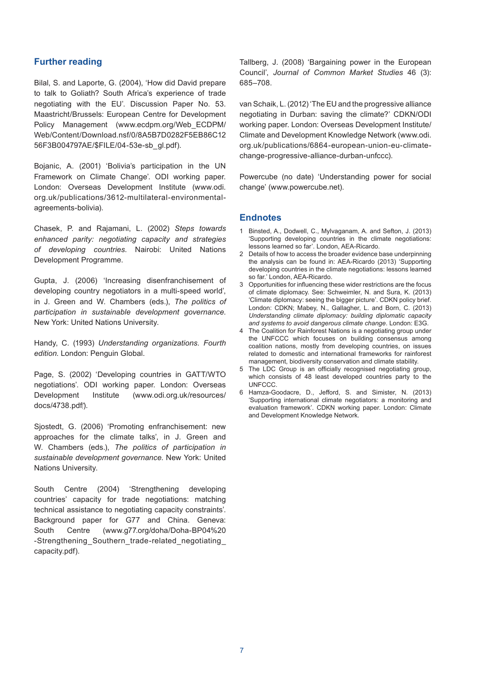## **Further reading**

Bilal, S. and Laporte, G. (2004), 'How did David prepare to talk to Goliath? South Africa's experience of trade negotiating with the EU'. Discussion Paper No. 53. Maastricht/Brussels: European Centre for Development Policy Management (www.ecdpm.org/Web ECDPM/ Web/Content/Download.nsf/0/8A5B7D0282F5EB86C12 56F3B004797AE/\$FILE/04-53e-sb ql.pdf).

Boianic. A. (2001) 'Bolivia's participation in the UN Framework on Climate Change'. ODI working paper. London: Overseas Development Institute (www.odi. org.uk/publications/3612-multilateral-environmentalagreements-bolivia).

Chasek, P. and Rajamani, L. (2002) Steps towards *enhanced parity: negotiating capacity and strategies*  of developing countries. Nairobi: United Nations Development Programme.

Gupta, J. (2006) 'Increasing disenfranchisement of developing country negotiators in a multi-speed world', in J. Green and W. Chambers (eds.), The politics of *participation in sustainable development governance*. New York: United Nations University.

Handy, C. (1993) Understanding organizations. Fourth *edition*. London: Penguin Global.

Page, S. (2002) 'Developing countries in GATT/WTO negotiations'. ODI working paper. London: Overseas Development Institute (www.odi.org.uk/resources/ docs/4738.pdf).

Siostedt, G. (2006) 'Promoting enfranchisement: new approaches for the climate talks', in J. Green and W. Chambers (eds.), The politics of participation in sustainable development governance. New York: United Nations University.

South Centre (2004) 'Strengthening developing countries' capacity for trade negotiations: matching technical assistance to negotiating capacity constraints'. Background paper for G77 and China. Geneva: South Centre (www.g77.org/doha/Doha-BP04%20 -Strengthening Southern trade-related negotiating capacity.pdf).

Tallberg, J. (2008) 'Bargaining power in the European Council', Journal of Common Market Studies 46 (3): 685-708.

van Schaik, L. (2012) 'The EU and the progressive alliance negotiating in Durban: saving the climate?' CDKN/ODI working paper. London: Overseas Development Institute/ Climate and Development Knowledge Network (www.odi. org.uk/publications/6864-european-union-eu-climatechange-progressive-alliance-durban-unfccc).

Powercube (no date) 'Understanding power for social change' (www.powercube.net).

## **Endnotes**

- 1 Binsted, A., Dodwell, C., Mylvaganam, A. and Sefton, J. (2013) 'Supporting developing countries in the climate negotiations: lessons learned so far'. London, AEA-Ricardo.
- 2 Details of how to access the broader evidence base underpinning the analysis can be found in: AEA-Ricardo (2013) 'Supporting developing countries in the climate negotiations: lessons learned so far.' London, AEA-Ricardo.
- 3 Opportunities for influencing these wider restrictions are the focus of climate diplomacy. See: Schweimler, N. and Sura, K. (2013) 'Climate diplomacy: seeing the bigger picture'. CDKN policy brief. London: CDKN; Mabey, N., Gallagher, L. and Born, C. (2013) *Understanding climate diplomacy: building diplomatic capacity*  and systems to avoid dangerous climate change. London: E3G.
- 4 The Coalition for Rainforest Nations is a negotiating group under the UNFCCC which focuses on building consensus among coalition nations, mostly from developing countries, on issues related to domestic and international frameworks for rainforest management, biodiversity conservation and climate stability.
- 5 The LDC Group is an officially recognised negotiating group, which consists of 48 least developed countries party to the UNFCCC
- 6 Hamza-Goodacre, D., Jefford, S. and Simister, N. (2013) 'Supporting international climate negotiators: a monitoring and evaluation framework'. CDKN working paper. London: Climate and Development Knowledge Network.